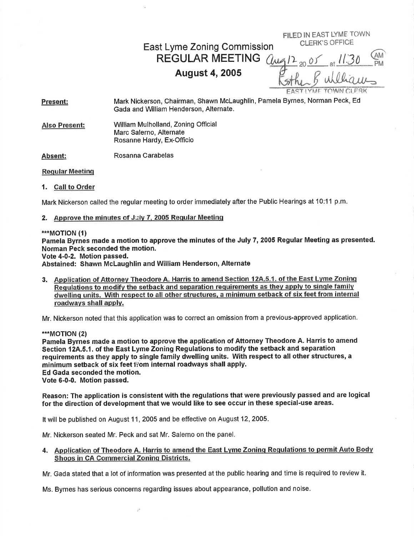FILED IN EAST LYME TOWN CLERK'S OFFICE

East Lyme Zoning Comrnission REGULAR MEETING *(lua)* 

# August 4,2005

zo of  $\mathbf{r}$  $12_{20.05}$  at  $11.30$  PM williams.

Present: Mark Nickerson, Chairman, Shawn Mclaughlin, Pamela Byrnes, Norman Peck, Ed Gada and William Henderson, Alternate.

Also Present: William Mulholland, Zoning Official Marc Salerno, Alternate Rosanne Hardy, Ex-Officio

Absent: Rosanna Carabelas

Reqular Meetinq

1. Call to Order

Mark Nickerson called the regular meeting to order immediately after the Fublic Hearings at 10:11 p.m.

### 2. Approve the minutes of July 7, 2005 Regular Meeting

\*\*\*MOTION (1)

Pamela Byrnes made a motion to approve the minutes of the July 7, 2005 Regular Meeting as presented. Norman Peck seconded the motion.

Vote 4-0-2. Motion passed.

Abstained: Shawn McLaughlin and William Henderson, Alternate

3. Application of Attornev Theodore A. Harris to amend Section 12A.5.1. of the East Lvme Zoninq Requiations to modify the setback and separation requirements as they apply to single family dwetlinq units. With respect to all other structures. a minimum setback of six feet from internal roadways shall apply.

Mr. Nickerson noted that this application was to correct an omission from a previous-approved application.

\*\*\*MOTION (2)

Pamela Byrnes made a motion to approve the application of Attorney Theodore A. Harris to amend Section 12A.5.1. of the East Lyme Zoning Regulations to modify the setback and separation requirements as they apply to single family dwelling units. With respect to all other structures, a minimum setback of six feet fiom internal roadways shall apply. Ed Gada seconded the motion. Vote 6-0-0. Motion passed.

Reason: The application is consistent With the regulations that were previously passed and are logical for the direction of development that we would like to see occur in these special-use areas.

It will be published on August 11, 2005 and be effective on August 12,2005.

Mr. Nickerson seated Mr. Peck and sat Mr. Salerno on the panel,

## 4. Application of Theodore A. Harris to amend the East Lyme Zoning Regulations to permit Auto Body Shops in CA Commercial Zoning Districts.

Mr. Gada stated that a lot of information was presented at the public hearing and time is required to review it.

Ms. Byrnes has serious concerns regarding issues about appearance, pollution and noise.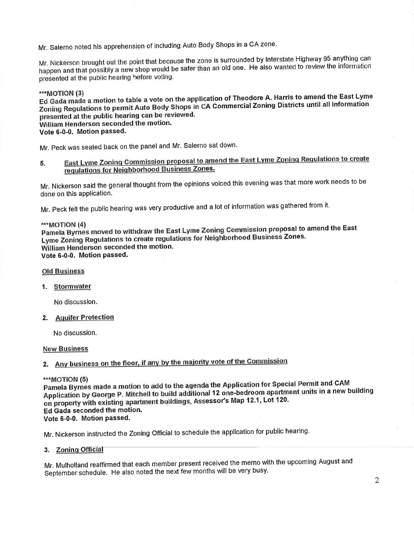Mr. Salerno noted his apprehension of including Auto Body Shops in a CA zone.

Mr. Nickerson brought out the point that because the zone is surrounded by Interstate Highway 95 anything can happen and that possibly a new shop would be safer than an old one. He also wanted to review the information presented at the public hearing before voting.

\*\*\*MOTION (3)

Ed Gada made a motion to table a vote on the application of Theodore A. Harris to amend the East Lyme Zoning Regulations to permit Auto Body Shops in CA Commercial Zoning Districts until all information presented at the public hearing can be reviewed. William Henderson seconded the motion. Vote 6-0-0. Motion passed.

Mr. Peck was seated back on the panel and Mr. Salerno sat down.

East Lyme Zoning Commission proposal to amend the East Lyme Zoning Regulations to create 5. regulations for Neighborhood Business Zones.

Mr. Nickerson said the general thought from the opinions voiced this evening was that more work needs to be done on this application.

Mr. Peck felt the public hearing was very productive and a lot of information was gathered from it.

### \*\*\*MOTION (4)

Pamela Byrnes moved to withdraw the East Lyme Zoning Commission proposal to amend the East Lyme Zoning Regulations to create regulations for Neighborhood Business Zones. William Henderson seconded the motion. Vote 6-0-0. Motion passed.

### **Old Business**

### 1. Stormwater

No discussion.

2. Aquifer Protection

No discussion.

### **New Business**

# 2. Any business on the floor, if any by the majority vote of the Commission

### \*\*\*MOTION (5)

Pamela Byrnes made a motion to add to the agenda the Application for Special Permit and CAM Application by George P. Mitchell to build additional 12 one-bedroom apartment units in a new building on property with existing apartment buildings, Assessor's Map 12.1, Lot 120. Ed Gada seconded the motion. Vote 6-0-0. Motion passed.

Mr. Nickerson instructed the Zoning Official to schedule the application for public hearing.

### 3. Zoning Official

Mr. Mulholland reaffirmed that each member present received the memo with the upcoming August and September schedule. He also noted the next few months will be very busy.